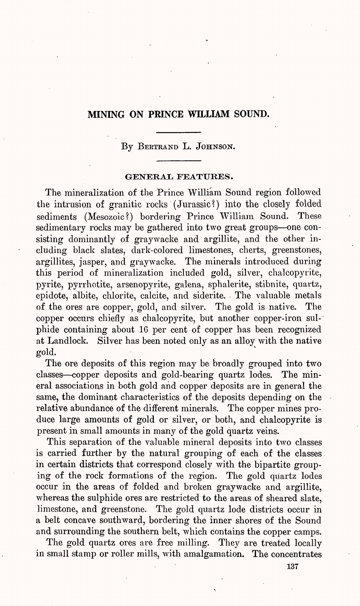# **MINING ON PRINCE WILLIAM SOUND.**

By BERTRAND L. JOHNSON.

## **GENERAL FEATURES.**

The mineralization of the Prince William Sound region followed the intrusion of granitic rocks (Jurassic?) into the closely folded sediments (Mesozoic?) bordering Prince William. Sound. These sedimentary rocks may be gathered into two great groups-one consisting dominantly of graywacke and argillite, and the other including black slates, dark-colored limestones, cherts, greenstones, argillites, jasper, and graywacke. The minerals introduced during this period of mineralization included gold, silver, chalcopyrite, pyrite, pyrrhotite, arsenopyrite, galena, sphalerite, stibnite, quartz, epidpte, albite, chlorite, calcite, and siderite. The valuable metals of the ores are copper, gold, and silver. The gold is native. The copper occurs chiefly as chalcopyrite, but another copper-iron sulphide containing about 16 per cent of copper has been recognized at Landlock. Silver has been noted only as an alloy with the native gold.

The ore deposits of this region may be broadly grouped into two classes copper deposits and gold-bearing quartz lodes. The mineral associations in both gold and copper deposits are in general the same, the dominant characteristics of the deposits depending on the relative abundance of the different minerals. The copper mines produce large amounts of gold or silver, or both, and chalcopyrite is present in small amounts in many of the gold quartz veins.

This separation of the valuable mineral deposits into two classes is carried further by the natural grouping of each of the classes in certain districts that correspond closely with the bipartite grouping of the rock formations of the region. The gold quartz lodes occur in the areas of folded and broken graywacke and argillite, whereas the sulphide ores are restricted to the areas of sheared slate, limestone, and greenstone. The gold quartz lode districts occur in a belt concave southward, bordering the inner shores of the Sound and surrounding the southern belt, which contains the copper camps.

The gold quartz ores are free milling. They are treated locally in small stamp or roller mills, with amalgamation. The concentrates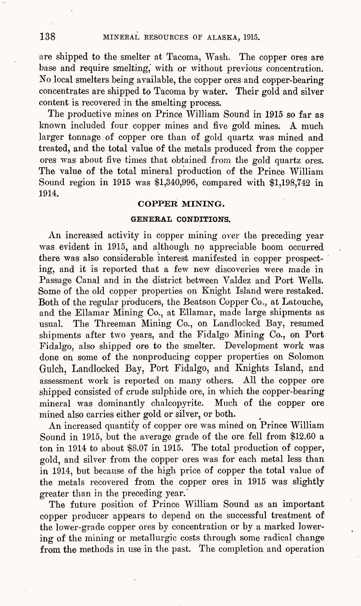are shipped to the smelter at Tacoma, Wash. The copper ores are base and require smelting,' with or without previous concentration. No local smelters being available, the copper ores and copper-bearing<br>concentrates are shipped to Tacoma by water. Their gold and silver concentrates are shipped to Tacoma by water. content is recovered in the smelting process.

The productive mines on Prince William Sound in 1915 so far as known included four copper mines and five gold mines. A much larger tonnage of copper ore than of gold quartz was mined and treated, and the total value of the metals produced from the copper ores was about five times that obtained from the gold quartz ores. The value of the total mineral production of the Prince William Sound region in 1915 was \$1,340,996, compared with \$1,198,742 in 1914.

## **COPPER MINING.**

#### **GENERAL CONDITIONS.**

An increased activity in copper mining over the preceding year was evident in 1915, and although no appreciable boom occurred there was also considerable interest manifested in copper prospecting, and it is reported that a few new discoveries were made in Passage Canal and in the district between Valdez and Port Wells. Some of the old copper properties on Knight Island were restaked. Both of the regular producers, the Beatson Copper Co., at Latouche, and the Ellamar Mining Co., at Ellamar, made large shipments as usual. The Threeman Mining Co., on Landlocked Bay, resumed shipments after two years, and the Fidalgo Mining Co., on Port Fidalgo, also shipped ore to the smelter. Development work was done on some of the nonproducing copper properties on Solomon Gulch, Landlocked Bay, Port Fidalgo, and Knights Island, and assessment work is reported on many others. All the copper ore shipped consisted of crude sulphide ore, in which the copper-bearing mineral was dominantly chalcopyrite. Much of the copper ore mined also carries either gold or silver, or both.

An increased quantity of copper ore was mined on Prince William Sound in 1915, but the average grade of the ore fell from \$12.60 a ton in 1914 to about \$8.07 in 1915. The total production of copper, gold, and silver from the copper ores was for each metal less than in 1914, but because of the high price of copper the total value of the metals recovered from the copper ores in 1915 was slightly greater than in the preceding year.

The future position of Prince William Sound as an important copper producer appears to depend on the successful treatment of the lower-grade copper ores by concentration or by a marked lowering of the mining or metallurgic costs through some radical change from the methods in use in the past. The completion and operation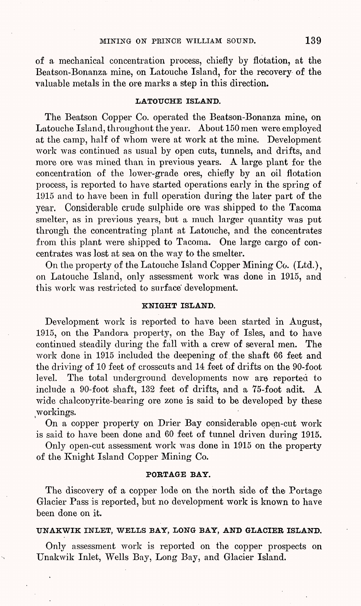of a mechanical concentration process, chiefly by flotation, at the Beatson-Bonanza mine, on Latouche Island, for the recovery of the valuable metals in the ore marks a step in this direction.

### **LATOUCHE ISLAND.**

The Beatson Copper Co. operated the Beatson-Bonanza mine, on Latouche Island, throughout the year. About 150 men were employed at the camp, half of whom were at work at the mine. Development work was continued as usual by open cuts, tunnels, and drifts, and more ore was mined than in previous years. A large plant for the concentration of the lower-grade ores, chiefly by an oil flotation process, is reported to have started operations early in the spring of 1915 and to have been in full operation during the later part of the year. Considerable crude sulphide ore was shipped to the Tacoma smelter, as in previous years, but a much larger quantity was put through the concentrating plant at Latouche, and the concentrates from this plant were shipped to Tacoma. One large cargo of concentrates was lost at sea on the way to the smelter.

On the property of the Latouche Island Copper Mining Co. (Ltd.), on Latouche Island, only assessment work was done in 1915, and this work was restricted to surface development.

### **KNIGHT ISLAND.**

Development work is reported to have been started in August, 1915, on the Pandora property, on the Bay of Isles, and to have continued steadily during the fall with a crew of several men. The work done in 1915 included the deepening of the shaft 66 feet and the driving of 10 feet of crosscuts and 14 feet of drifts on the 90-foot level. The total underground developments now are reported to include a 90-foot shaft, 132 feet of drifts, and a 75-foot adit. A wide chalcopyrite-bearing ore zone is said to be developed by these workings.

On a copper property on Drier Bay considerable open-cut work is said to have been done and 60 feet of tunnel driven during 1915.

Only open-cut assessment work was done in 1915 on the property of the Knight Island Copper Mining Co.

### **PORTAGE BAY.**

The discovery of a copper lode on the north side of the Portage Glacier Pass is reported, but no development work is known to have been done on it.

## **UNAKWIK INLET, WELLS BAY, LONG BAY, AND GLACIER ISLAND.**

Only assessment work is reported on the copper prospects on Unakwik Inlet, Wells Bay, Long Bay, and Glacier Island.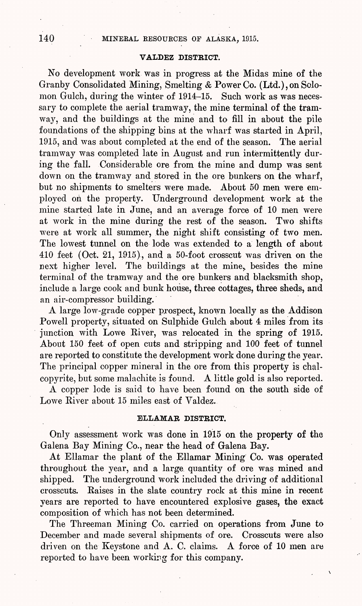## **VALDEZ DISTRICT.**

No development work was in progress at the Midas mine of the Granby Consolidated Mining, Smelting & Power Co. (Ltd.),on Solomon Gulch, during the winter of 1914-15. Such work as was necessary to complete the aerial tramway, the mine terminal of the tramway, and the buildings at the mine and to fill in about the pile foundations of the shipping bins at the wharf was started in April, 1915, and was about completed at the end of the season. The aerial  $1915$ , and was about completed at the end of the season. tramway was completed late in August and run intermittently during the fall. Considerable ore from the mine and dump was sent down on the tramway and stored in the ore bunkers on the wharf, but no shipments to smelters were made. About 50 men were employed on the property. Underground development work at the mine started late in June, and an average force of 10 men were at work in the mine during the rest of the season. Two shifts were at work all summer, the night shift consisting of two men. The lowest tunnel on the lode was extended to a length of about 410 feet (Oct. 21, 1915), and a 50-foot crosscut was driven on the next higher level. The buildings at the mine, besides the mine terminal of the tramway and the ore bunkers and blacksmith shop, include a large cook and bunk house, three cottages, three sheds, and an air-compressor building.

A large low-grade copper prospect, known locally as the Addison Powell property, situated on Sulphide Gulch about 4 miles from its junction with Lowe River, was relocated in the spring of 1915. About 150 feet of open cuts and stripping and 100 feet of tunnel are reported to constitute the development work done during the year. The principal copper mineral in the ore from this property is chal $c$ opyrite, but some malachite is found. A little gold is also reported.

A copper lode is said to have been found on the south side of Lowe River about 15 miles east of Valdez.

## **ELLAMAR DISTRICT.**

Only assessment work was done in 1915 on the property of the Galena Bay Mining Co., near the head of Galena Bay.

At Ellamar the plant of the Ellamar Mining Co. was operated throughout the year, and a large quantity of ore was mined and shipped. The underground work included the driving of additional The underground work included the driving of additional crosscuts. Raises in the slate country rock at this mine in recent years are reported to have encountered explosive gases, the exact composition of which has not been determined.

The Threeman Mining Co. carried on operations from June to December and made several shipments of ore. Crosscuts were also driven on the Keystone and A. C. claims. A force of 10 men are reported to have been working for this company.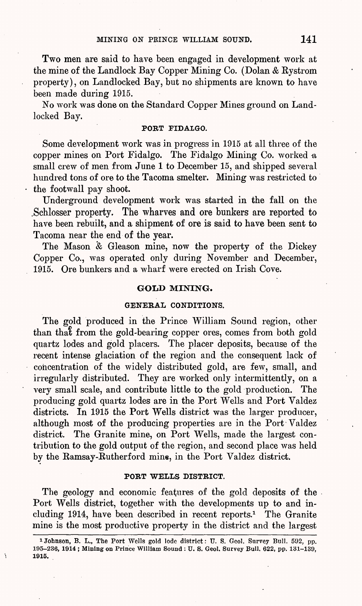Two men are said to have been engaged in development work at the mine of the Landlock Bay Copper Mining Co. (Dolan & Kystrom property), on Landlocked Bay, but no shipments are known to have been made during 1915.

No work was done on the Standard Copper Mines ground on Landlocked Bay.

## PORT FIDALGO.

Some development work was in progress in 1915 at all three of the copper mines on Port Fidalgo. The Fidalgo Mining Co. worked a small crew of men from June 1 to December 15, and shipped several hundred tons of ore to the Tacoma smelter. Mining was restricted to the footwall pay shoot.

Underground development work was started in the fall on the .Schlosser property. The wharves and ore bunkers are reported to have been rebuilt, and a shipment of ore is said to have been sent to Tacoma near the end of the year.

The Mason *'&* Gleason mine, now the property of the Dickey Copper Co., was operated only during November and December, 1915. Ore bunkers and a wharf were erected on Irish Cove.

### **GOLD MINING.**

#### GENERAL **CONDITIONS.**

The gold produced in the Prince William Sound region, other than that from the gold-bearing copper ores, comes from both gold quartz lodes and gold placers. The placer deposits, because of the recent intense glaciation of the region and the consequent lack of concentration of the widely distributed gold, are few, small, and irregularly distributed. They are worked only intermittently, on a very small scale, and contribute little to the gold production. The producing gold quartz lodes are in the Port Wells and Port Valdez districts. In 1915 the Port Wells district was the larger producer, although most of the producing properties are in the Port Valdez district. The Granite mine, on Port Wells, made the largest contribution to the gold output of the region, and second place was held by the Eamsay-Kutherford mine, in the Port Valdez district.

#### PORT WELLS DISTRICT.

The geology and economic features of the gold deposits of the Port Wells district, together with the developments up to and including 1914, have been described in recent reports.<sup>1</sup> The Granite mine is the most productive property in the district and the largest

<sup>&</sup>lt;sup>1</sup> Johnson, B. L., The Port Wells gold lode district: U. S. Geol. Survey Bull. 592, pp. 195-236, 1914 ; Mining on Prince William Sound : U. S. Geol. Survey Bull. 622, pp. 131-139, 1915.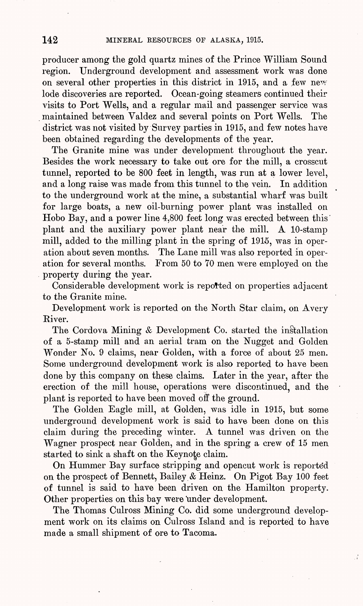producer among the gold quartz mines of the Prince William Sound region. Underground development and assessment work was done on several other properties in this district in 1915, and a few new lode discoveries are reported. Ocean-going steamers continued their visits to Port Wells, and a regular mail and passenger service was maintained between Valdez and several points on Port Wells, The district was not visited by Survey parties in 1915, and few notes have been obtained regarding the developments of the year.

The Granite mine was under development throughout the year. Besides the work necessary to take out ore for the mill, a crosscut tunnel, reported to be 800 feet in length, was run at a lower level, and a long raise was made from this tunnel to the vein. In addition to the underground work at the mine, a substantial wharf was built for large boats, a new oil-burning power plant was installed on Hobo Bay, and a power line 4,800 feet long was erected between this' plant and the auxiliary power plant near the mill. A 10-stamp mill, added to the milling plant in the spring of  $1915$ , was in operation about seven months. The Lane mill was also reported in operation for several months. From 50 to TO men were employed on the property during the year.

Considerable development work is reported on properties adjacent to the Granite mine.

Development work is reported on the North Star claim, on Avery River.

The Cordova Mining *&* Development Co. started the installation of a 5-stamp mill and an aerial tram on the Nugget and Golden Wonder No. 9 claims, near Golden, with a force of about 25 men. Some underground development work is also reported to have been done by this company on these claims. Later in the year, after the erection of the mill house, operations were discontinued, and the plant is reported to have been moved off the ground.

The Golden Eagle mill, at Golden, was idle in 1915, but some underground development work is said to have been done on this claim during the preceding winter. A tunnel was driven on the Wagner prospect near Golden, and in the spring a crew of 15 men started to sink a shaft on the Keynote claim.

On Hummer Bay surface stripping and opencut work is reported on the prospect of Bennett, Bailey & Heinz. On Pigot Bay 100 feet of tunnel is said to have been driven on the Hamilton property. Other properties on this bay were under development.

The Thomas Culross Mining Co. did some underground development work on its claims on Culross Island and is reported to have made a small shipment of ore to Tacoma.

Å.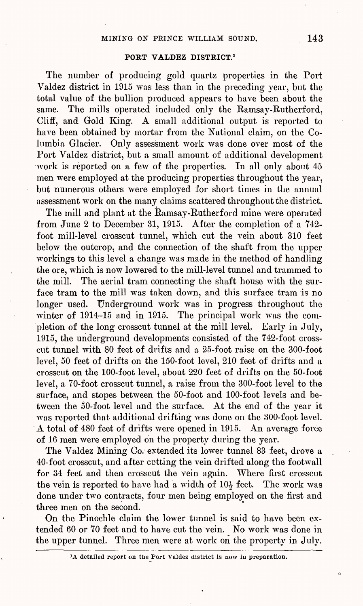### **PORT VALDEZ DISTRICT.<sup>1</sup>**

The number of producing gold quartz properties in the Port Valdez district in 1915 was less than in the preceding year, but the total value of the bullion produced appears to have been about the same. The mills operated included only the Ramsay-Rutherford, Cliff, and Gold King. A small additional output is reported to have been obtained by mortar from the National claim, on the Columbia Glacier. Only assessment work was done over most of the Port Valdez district, but a small amount of additional development work is reported on a few of the properties. In all only about 45 men were employed at the producing properties throughout the year, but numerous others were employed for short times in the annual assessment work on the many claims scattered throughout the district.

The mill and plant at the Ramsay-Rutherford mine were operated from June 2 to December 31, 1915. After the completion of a 742 foot mill-level crosscut tunnel, which cut the vein about 310 feet below the outcrop, and the connection of the shaft from the upper workings to this level a change was made in the method of handling the ore, which is now lowered to the mill-level tunnel and trammed to the mill. The aerial tram connecting the shaft house with the surface tram to the mill was taken down, and this surface tram is no longer used. Underground work was in progress throughout the winter of 1914-15 and in 1915. The principal work was the completion of the long crosscut tunnel at the mill level. Early in July, 1915, the underground developments consisted of the 742-foot crosscut tunnel with 80 feet of drifts and a 25-foot raise on the 300-foot level, 50 feet of drifts on the 150-foot level, 210 feet of drifts and a crosscut on the 100-foot level, about 220 feet of drifts on the 50-foot level, a 70-foot crosscut tunnel, a raise from the 300-foot level to the surface, and stopes between the 50-foot and 100-foot levels and between the 50-foot level and the surface. At the end of the year it was reported that additional drifting was done on the 300-foot level. A total of 480 feet of drifts were opened in 1915. An average force of 16 men were employed on the property during the year.

The Valdez Mining Co. extended its lower tunnel 83 feet, drove a 40-foot crosscut, and after cutting the vein drifted along the footwall for 34 feet and then crosscut the vein again. Where first crosscut the vein is reported to have had a width of  $10<sub>3</sub>$  feet. The work was done under two contracts, four men being employed on the first and three men on the second.

On the Pinochle claim the lower tunnel is said to have been extended 60 or 70 feet and to have cut the vein. No work was done in the upper tunnel. Three men were at work on the property in July.

 $\circ$ 

<sup>&</sup>lt;sup>1</sup>A detailed report on the Port Valdez district is now in preparation.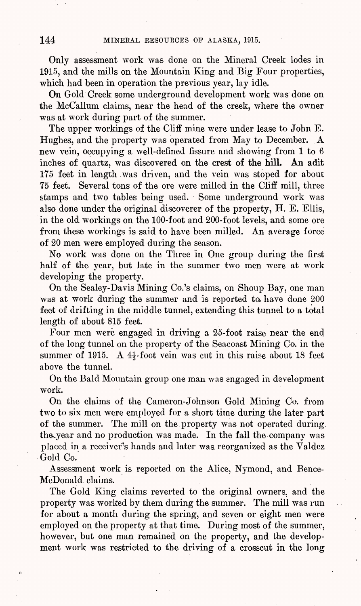Only assessment work was done on the Mineral Creek lodes in 1915, and the mills on the Mountain King and Big Four properties, which had been in operation the previous year, lay idle.

On Gold Creek some underground development work was done on the McCallum claims, near the head of the creek, where the owner was at work during part of the summer.

The upper workings of the Cliff mine were under lease to John E. Hughes, and the property was operated from May to December. A new vein, occupying a well-defined fissure and showing from 1 to 6 inches of quartz, was discovered on the crest of the hill. An adit 175 feet in length was driven, and the vein was stoped for about 75 feet. Several tons of the ore were milled in the Cliff mill, three stamps and two tables being used. Some underground work was also done under the original discoverer of the property, H. E. Ellis, in the old workings on the 100-foot and 200-foot levels, and some ore from these workings is said to have been milled. An average force of 20 men were employed during the season.

No work was done on the Three in One group during the first half of the year, but late in the summer two men were at work developing the property.

On the Sealey-Davis Mining Co.'s claims, on Shoup Bay, one man was at work during the summer and is reported to have done 200 feet of drifting in the middle tunnel, extending this tunnel to a total length of about 815 feet.

Four men were engaged in driving a 25-foot raise near the end of the long tunnel on the property of the Seacoast Mining Co. in the summer of 1915. A  $4\frac{1}{2}$ -foot vein was cut in this raise about 18 feet above the tunnel.

On the Bald Mountain group one man was engaged in development work.

On the claims of the Cameron-Johnson Gold Mining Co. from two to six men were employed for a short time during the later part of the summer. The mill on the property was not operated during. the year and no production was made. In the fall the company was placed in a receiver's hands and later was. reorganized as the Valdez Gold Co.

Assessment work is reported on the Alice, Nymond, and Bence-McDonald. claims.

The Gold King claims reverted to the original owners, and the property was worked by them during the summer. The mill was run for about a month during the spring, and seven or eight men were employed on the property at that time. During most of the summer, however, but one man remained on the property, and the development work was restricted to the driving of a crosscut in the long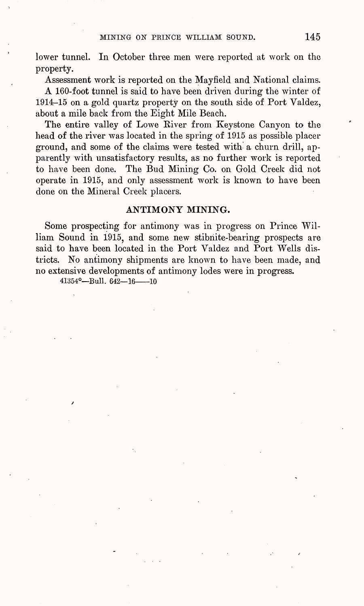lower tunnel. In October three men were reported at work on the property.

Assessment work is reported on the Mayfield and National claims. A 160-foot tunnel is said to have been driven during the winter of 1914-15 on a gold quartz property on the south side of Port Valdez, about a mile back from the Eight Mile Beach.

The entire valley of Lowe Eiver from Keystone Canyon to the head of the river was located in the spring of 1915 as possible placer ground, and some of the claims were tested with a churn drill, apparently with unsatisfactory results, as no further work is reported to have been done. The Bud Mining Co. on Gold Creek did not operate in 1915, and only assessment work is known to have been done on the Mineral Creek placers.

## **ANTIMONY MINING.**

Some prospecting for antimony was in progress on Prince William Sound in 1915, and some new stibnite-bearing prospects are said to have been located in the Port Valdez and Port Wells districts. No antimony shipments are known to have been made, and no extensive developments of antimony lodes were in progress.

41354° - Bull. 642 - 16 - 10